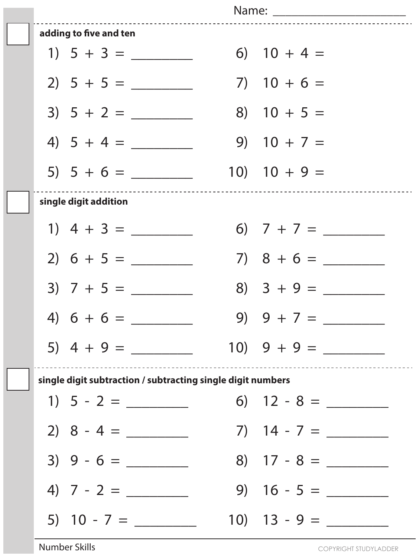| Name: _________________________                             |  |                  |  |  |  |  |
|-------------------------------------------------------------|--|------------------|--|--|--|--|
| adding to five and ten                                      |  |                  |  |  |  |  |
|                                                             |  | 6) $10 + 4 =$    |  |  |  |  |
| $2) 5 + 5 =$                                                |  | $7)$ 10 + 6 =    |  |  |  |  |
| $3) 5 + 2 =$                                                |  | $8)$ 10 + 5 =    |  |  |  |  |
| 4) $5 + 4 =$                                                |  | $9)$ 10 + 7 =    |  |  |  |  |
|                                                             |  | $10)$ $10 + 9 =$ |  |  |  |  |
| single digit addition                                       |  |                  |  |  |  |  |
|                                                             |  |                  |  |  |  |  |
|                                                             |  |                  |  |  |  |  |
|                                                             |  | $8)$ 3 + 9 =     |  |  |  |  |
| 4) $6 + 6 =$ 9) $9 + 7 =$                                   |  |                  |  |  |  |  |
|                                                             |  |                  |  |  |  |  |
| single digit subtraction / subtracting single digit numbers |  |                  |  |  |  |  |
| 1) $5 - 2 =$                                                |  |                  |  |  |  |  |
| $2) 8 - 4 = \_$                                             |  |                  |  |  |  |  |
| $3) 9 - 6 =$                                                |  | 8) $17 - 8 =$    |  |  |  |  |
|                                                             |  | $9) 16 - 5 =$    |  |  |  |  |
| 5) $10 - 7 =$                                               |  |                  |  |  |  |  |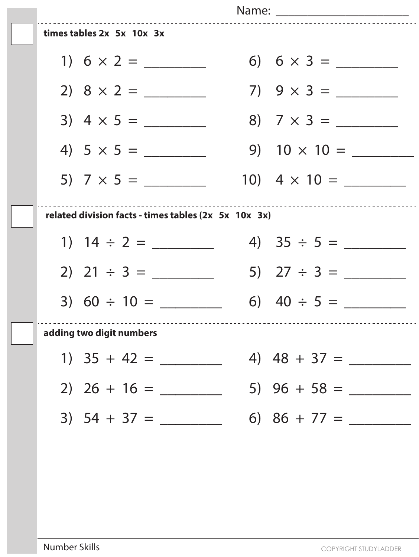|                                                                                               |  | Name: ___________________________ |  |  |
|-----------------------------------------------------------------------------------------------|--|-----------------------------------|--|--|
| times tables 2x 5x 10x 3x                                                                     |  |                                   |  |  |
|                                                                                               |  |                                   |  |  |
|                                                                                               |  |                                   |  |  |
| $3)$ 4 $\times$ 5 =                                                                           |  |                                   |  |  |
|                                                                                               |  | 9) $10 \times 10 =$               |  |  |
| 5) $7 \times 5 =$                                                                             |  | 10) $4 \times 10 =$               |  |  |
| -------------------------------------<br>related division facts - times tables (2x 5x 10x 3x) |  |                                   |  |  |
|                                                                                               |  |                                   |  |  |
|                                                                                               |  | 5) $27 \div 3 =$                  |  |  |
| 3) $60 \div 10 =$                                                                             |  | 6) $40 \div 5 =$                  |  |  |
| adding two digit numbers                                                                      |  |                                   |  |  |
|                                                                                               |  |                                   |  |  |
|                                                                                               |  |                                   |  |  |
|                                                                                               |  |                                   |  |  |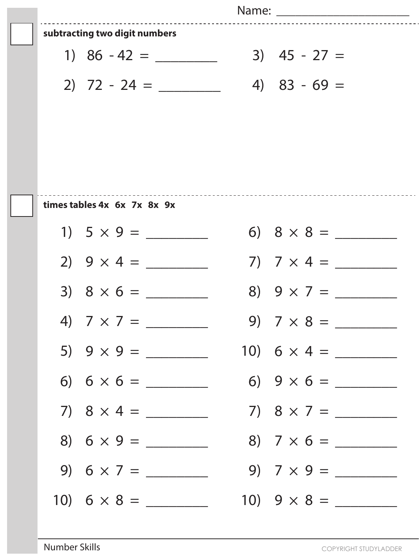|  |                                       | Name: __________________________ |
|--|---------------------------------------|----------------------------------|
|  | subtracting two digit numbers         |                                  |
|  |                                       | $3)$ 45 - 27 =                   |
|  |                                       | 4) $83 - 69 =$                   |
|  |                                       |                                  |
|  |                                       |                                  |
|  |                                       |                                  |
|  |                                       |                                  |
|  | times tables 4x 6x 7x 8x 9x           |                                  |
|  |                                       |                                  |
|  | 2) $9 \times 4 =$                     | 7) $7 \times 4 =$                |
|  | $3) 8 \times 6 =$                     | 8) $9 \times 7 =$                |
|  | 4) $7 \times 7 =$ 9) $7 \times 8 =$ 9 |                                  |
|  |                                       |                                  |
|  |                                       |                                  |
|  |                                       |                                  |
|  |                                       |                                  |
|  | 9) $6 \times 7 =$                     |                                  |
|  |                                       |                                  |

 $\equiv$  .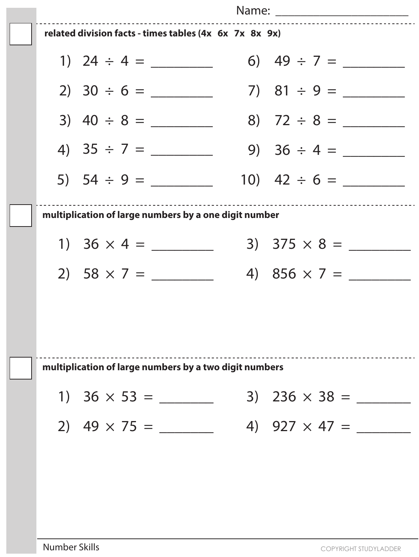